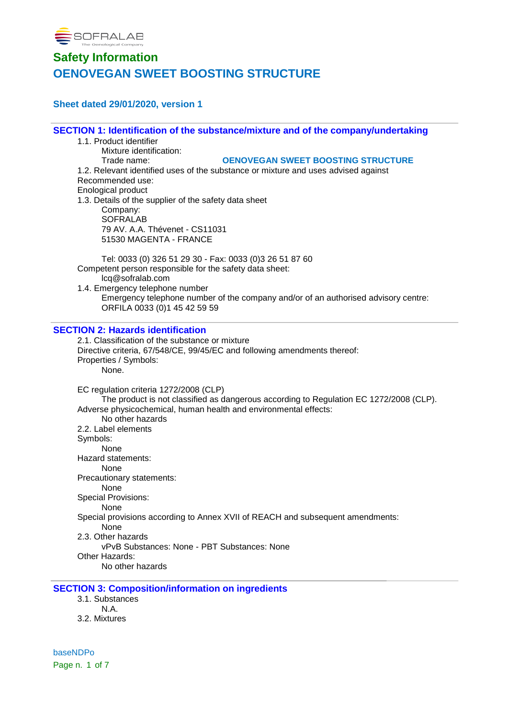

### **Sheet dated 29/01/2020, version 1**

**SECTION 1: Identification of the substance/mixture and of the company/undertaking**

- 1.1. Product identifier
	- Mixture identification:

#### Trade name: **OENOVEGAN SWEET BOOSTING STRUCTURE**

1.2. Relevant identified uses of the substance or mixture and uses advised against Recommended use: Enological product 1.3. Details of the supplier of the safety data sheet

Company: **SOFRALAB** 79 AV. A.A. Thévenet - CS11031 51530 MAGENTA - FRANCE

Tel: 0033 (0) 326 51 29 30 - Fax: 0033 (0)3 26 51 87 60 Competent person responsible for the safety data sheet: lcq@sofralab.com

1.4. Emergency telephone number Emergency telephone number of the company and/or of an authorised advisory centre: ORFILA 0033 (0)1 45 42 59 59

### **SECTION 2: Hazards identification**

2.1. Classification of the substance or mixture Directive criteria, 67/548/CE, 99/45/EC and following amendments thereof: Properties / Symbols: None. EC regulation criteria 1272/2008 (CLP) The product is not classified as dangerous according to Regulation EC 1272/2008 (CLP). Adverse physicochemical, human health and environmental effects: No other hazards 2.2. Label elements Symbols: None Hazard statements: None Precautionary statements: None Special Provisions: None Special provisions according to Annex XVII of REACH and subsequent amendments: None

2.3. Other hazards

vPvB Substances: None - PBT Substances: None

Other Hazards:

No other hazards

### **SECTION 3: Composition/information on ingredients**

- 3.1. Substances
- N.A.
- 3.2. Mixtures

baseNDPo Page n. 1 of 7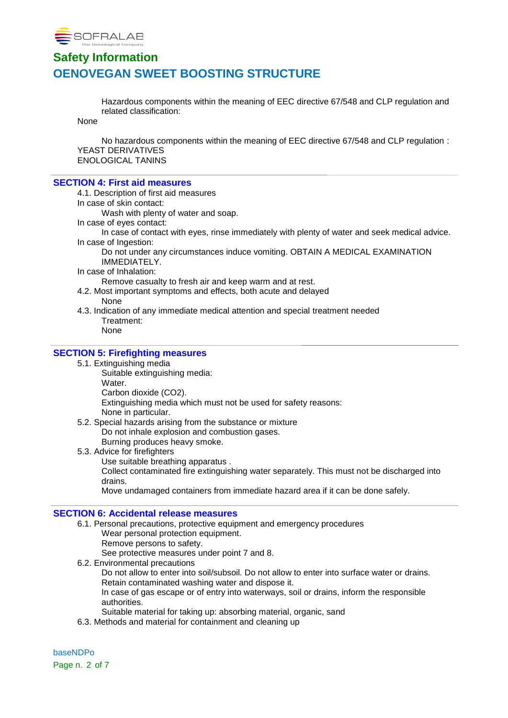

Hazardous components within the meaning of EEC directive 67/548 and CLP regulation and related classification:

None

No hazardous components within the meaning of EEC directive 67/548 and CLP regulation : YEAST DERIVATIVES ENOLOGICAL TANINS

#### **SECTION 4: First aid measures**

4.1. Description of first aid measures

In case of skin contact:

Wash with plenty of water and soap.

In case of eyes contact:

In case of contact with eyes, rinse immediately with plenty of water and seek medical advice. In case of Ingestion:

Do not under any circumstances induce vomiting. OBTAIN A MEDICAL EXAMINATION IMMEDIATELY.

In case of Inhalation:

Remove casualty to fresh air and keep warm and at rest.

- 4.2. Most important symptoms and effects, both acute and delayed None
- 4.3. Indication of any immediate medical attention and special treatment needed Treatment:
	- None

### **SECTION 5: Firefighting measures**

- 5.1. Extinguishing media
	- Suitable extinguishing media: Water. Carbon dioxide (CO2). Extinguishing media which must not be used for safety reasons: None in particular.
- 5.2. Special hazards arising from the substance or mixture Do not inhale explosion and combustion gases. Burning produces heavy smoke.
- 5.3. Advice for firefighters
	- Use suitable breathing apparatus .

Collect contaminated fire extinguishing water separately. This must not be discharged into drains.

Move undamaged containers from immediate hazard area if it can be done safely.

#### **SECTION 6: Accidental release measures**

- 6.1. Personal precautions, protective equipment and emergency procedures Wear personal protection equipment.
	- Remove persons to safety.

See protective measures under point 7 and 8.

- 6.2. Environmental precautions Do not allow to enter into soil/subsoil. Do not allow to enter into surface water or drains. Retain contaminated washing water and dispose it. In case of gas escape or of entry into waterways, soil or drains, inform the responsible authorities. Suitable material for taking up: absorbing material, organic, sand
	-
- 6.3. Methods and material for containment and cleaning up

baseNDPo Page n. 2 of 7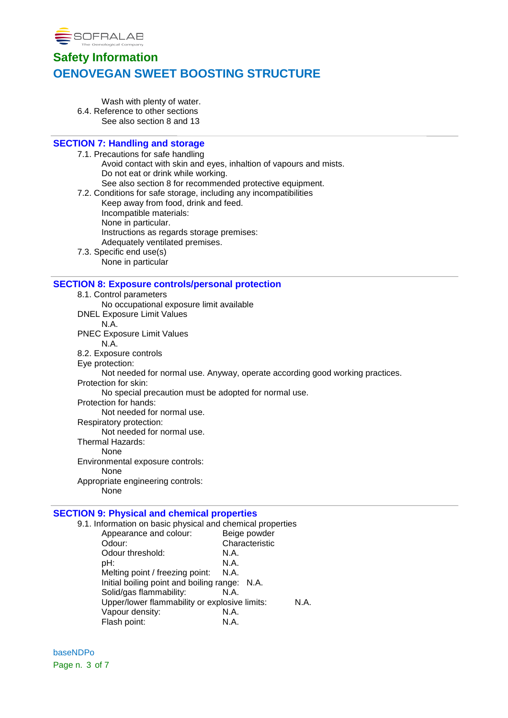

Wash with plenty of water. 6.4. Reference to other sections See also section 8 and 13

## **SECTION 7: Handling and storage**

7.1. Precautions for safe handling Avoid contact with skin and eyes, inhaltion of vapours and mists. Do not eat or drink while working. See also section 8 for recommended protective equipment. 7.2. Conditions for safe storage, including any incompatibilities Keep away from food, drink and feed. Incompatible materials: None in particular. Instructions as regards storage premises: Adequately ventilated premises. 7.3. Specific end use(s) None in particular **SECTION 8: Exposure controls/personal protection** 8.1. Control parameters No occupational exposure limit available DNEL Exposure Limit Values N.A. PNEC Exposure Limit Values N.A. 8.2. Exposure controls Eye protection: Not needed for normal use. Anyway, operate according good working practices. Protection for skin: No special precaution must be adopted for normal use. Protection for hands: Not needed for normal use. Respiratory protection: Not needed for normal use. Thermal Hazards: None Environmental exposure controls: None Appropriate engineering controls: None

### **SECTION 9: Physical and chemical properties**

| 9.1. Information on basic physical and chemical properties |                |  |
|------------------------------------------------------------|----------------|--|
| Appearance and colour:                                     | Beige powder   |  |
| Odour:                                                     | Characteristic |  |
| Odour threshold:                                           | N.A.           |  |
| pH:                                                        | N.A.           |  |
| Melting point / freezing point:                            | N.A.           |  |
| Initial boiling point and boiling range: N.A.              |                |  |
| Solid/gas flammability:                                    | N.A.           |  |
| Upper/lower flammability or explosive limits:              |                |  |
| Vapour density:                                            | N.A.           |  |
| Flash point:                                               | N.A.           |  |

baseNDPo Page n. 3 of 7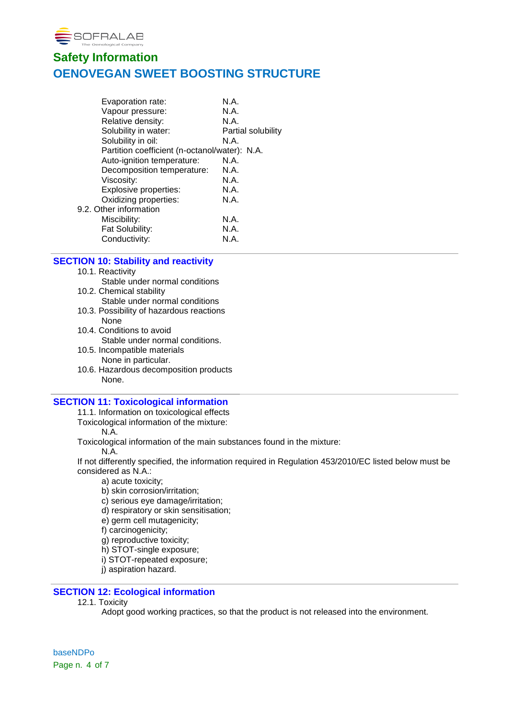

| Evaporation rate:                             | N.A.               |
|-----------------------------------------------|--------------------|
| Vapour pressure:                              | N.A.               |
| Relative density:                             | N.A.               |
| Solubility in water:                          | Partial solubility |
| Solubility in oil:                            | N.A.               |
| Partition coefficient (n-octanol/water): N.A. |                    |
| Auto-ignition temperature:                    | N.A.               |
| Decomposition temperature:                    | N.A.               |
| Viscosity:                                    | N.A.               |
| Explosive properties:                         | N.A.               |
| Oxidizing properties:                         | N.A.               |
| 9.2. Other information                        |                    |
| Miscibility:                                  | N.A.               |
| Fat Solubility:                               | N.A.               |
| Conductivity:                                 | N.A.               |
|                                               |                    |

### **SECTION 10: Stability and reactivity**

- 10.1. Reactivity
- Stable under normal conditions
- 10.2. Chemical stability Stable under normal conditions
- 10.3. Possibility of hazardous reactions None
- 10.4. Conditions to avoid Stable under normal conditions.
- 10.5. Incompatible materials None in particular.
- 10.6. Hazardous decomposition products None.

### **SECTION 11: Toxicological information**

11.1. Information on toxicological effects

Toxicological information of the mixture:

N.A.

Toxicological information of the main substances found in the mixture:

N.A.

If not differently specified, the information required in Regulation 453/2010/EC listed below must be considered as N.A.:

- a) acute toxicity;
- b) skin corrosion/irritation;
- c) serious eye damage/irritation;
- d) respiratory or skin sensitisation;
- e) germ cell mutagenicity;
- f) carcinogenicity;
- g) reproductive toxicity;
- h) STOT-single exposure;
- i) STOT-repeated exposure;
- j) aspiration hazard.

## **SECTION 12: Ecological information**

12.1. Toxicity

Adopt good working practices, so that the product is not released into the environment.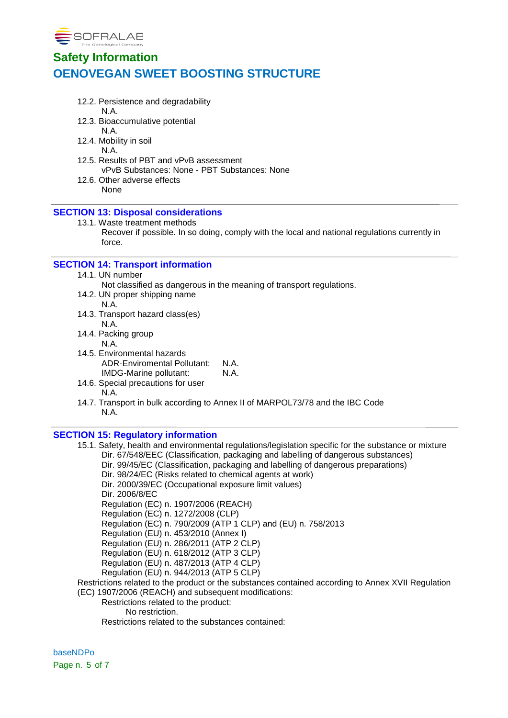

- 12.2. Persistence and degradability
	- N.A.
- 12.3. Bioaccumulative potential

N.A. 12.4. Mobility in soil

N.A.

- 12.5. Results of PBT and vPvB assessment vPvB Substances: None - PBT Substances: None
- 12.6. Other adverse effects None

## **SECTION 13: Disposal considerations**

- 13.1. Waste treatment methods
	- Recover if possible. In so doing, comply with the local and national regulations currently in force.

### **SECTION 14: Transport information**

- 14.1. UN number
	- Not classified as dangerous in the meaning of transport regulations.
- 14.2. UN proper shipping name
	- N.A.
- 14.3. Transport hazard class(es) N.A.
- 14.4. Packing group
	- N.A.
- 14.5. Environmental hazards ADR-Enviromental Pollutant: N.A. IMDG-Marine pollutant: N.A.
- 14.6. Special precautions for user N.A.
- 14.7. Transport in bulk according to Annex II of MARPOL73/78 and the IBC Code N.A.

### **SECTION 15: Regulatory information**

15.1. Safety, health and environmental regulations/legislation specific for the substance or mixture Dir. 67/548/EEC (Classification, packaging and labelling of dangerous substances) Dir. 99/45/EC (Classification, packaging and labelling of dangerous preparations) Dir. 98/24/EC (Risks related to chemical agents at work) Dir. 2000/39/EC (Occupational exposure limit values) Dir. 2006/8/EC Regulation (EC) n. 1907/2006 (REACH) Regulation (EC) n. 1272/2008 (CLP) Regulation (EC) n. 790/2009 (ATP 1 CLP) and (EU) n. 758/2013 Regulation (EU) n. 453/2010 (Annex I) Regulation (EU) n. 286/2011 (ATP 2 CLP) Regulation (EU) n. 618/2012 (ATP 3 CLP) Regulation (EU) n. 487/2013 (ATP 4 CLP) Regulation (EU) n. 944/2013 (ATP 5 CLP) Restrictions related to the product or the substances contained according to Annex XVII Regulation (EC) 1907/2006 (REACH) and subsequent modifications: Restrictions related to the product: No restriction.

Restrictions related to the substances contained:

baseNDPo Page n. 5 of 7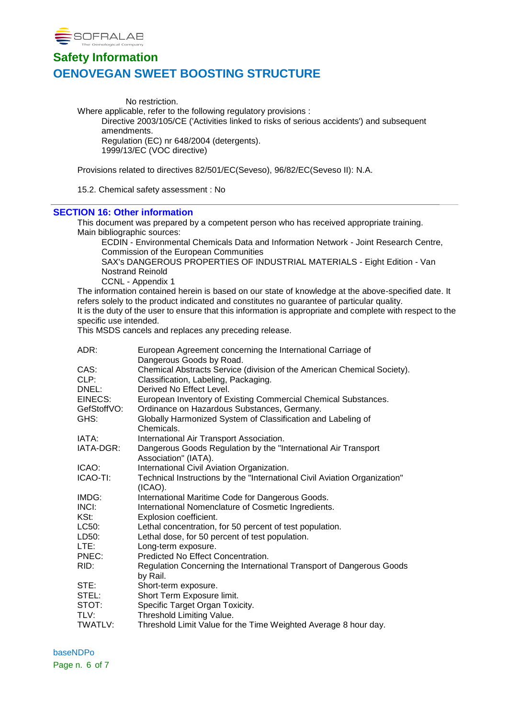

No restriction. Where applicable, refer to the following regulatory provisions : Directive 2003/105/CE ('Activities linked to risks of serious accidents') and subsequent amendments. Regulation (EC) nr 648/2004 (detergents). 1999/13/EC (VOC directive) Provisions related to directives 82/501/EC(Seveso), 96/82/EC(Seveso II): N.A.

15.2. Chemical safety assessment : No

### **SECTION 16: Other information**

This document was prepared by a competent person who has received appropriate training. Main bibliographic sources:

ECDIN - Environmental Chemicals Data and Information Network - Joint Research Centre, Commission of the European Communities

SAX's DANGEROUS PROPERTIES OF INDUSTRIAL MATERIALS - Eight Edition - Van Nostrand Reinold

CCNL - Appendix 1

The information contained herein is based on our state of knowledge at the above-specified date. It refers solely to the product indicated and constitutes no guarantee of particular quality. It is the duty of the user to ensure that this information is appropriate and complete with respect to the specific use intended.

This MSDS cancels and replaces any preceding release.

| ADR:        | European Agreement concerning the International Carriage of                            |
|-------------|----------------------------------------------------------------------------------------|
|             | Dangerous Goods by Road.                                                               |
| CAS:        | Chemical Abstracts Service (division of the American Chemical Society).                |
| CLP:        | Classification, Labeling, Packaging.                                                   |
| DNEL:       | Derived No Effect Level.                                                               |
| EINECS:     | European Inventory of Existing Commercial Chemical Substances.                         |
| GefStoffVO: | Ordinance on Hazardous Substances, Germany.                                            |
| GHS:        | Globally Harmonized System of Classification and Labeling of<br>Chemicals.             |
| IATA:       | International Air Transport Association.                                               |
| IATA-DGR:   | Dangerous Goods Regulation by the "International Air Transport<br>Association" (IATA). |
| ICAO:       | International Civil Aviation Organization.                                             |
| ICAO-TI:    | Technical Instructions by the "International Civil Aviation Organization"              |
|             | $(ICAO)$ .                                                                             |
| IMDG:       | International Maritime Code for Dangerous Goods.                                       |
| INCI:       | International Nomenclature of Cosmetic Ingredients.                                    |
| KSt:        | Explosion coefficient.                                                                 |
| LC50:       | Lethal concentration, for 50 percent of test population.                               |
| LD50:       | Lethal dose, for 50 percent of test population.                                        |
| LTE:        | Long-term exposure.                                                                    |
| PNEC:       | Predicted No Effect Concentration.                                                     |
| RID:        | Regulation Concerning the International Transport of Dangerous Goods                   |
|             | by Rail.                                                                               |
| STE:        | Short-term exposure.                                                                   |
| STEL:       | Short Term Exposure limit.                                                             |
| STOT:       | Specific Target Organ Toxicity.                                                        |
| TLV:        | Threshold Limiting Value.                                                              |
| TWATLV:     | Threshold Limit Value for the Time Weighted Average 8 hour day.                        |

baseNDPo Page n. 6 of 7